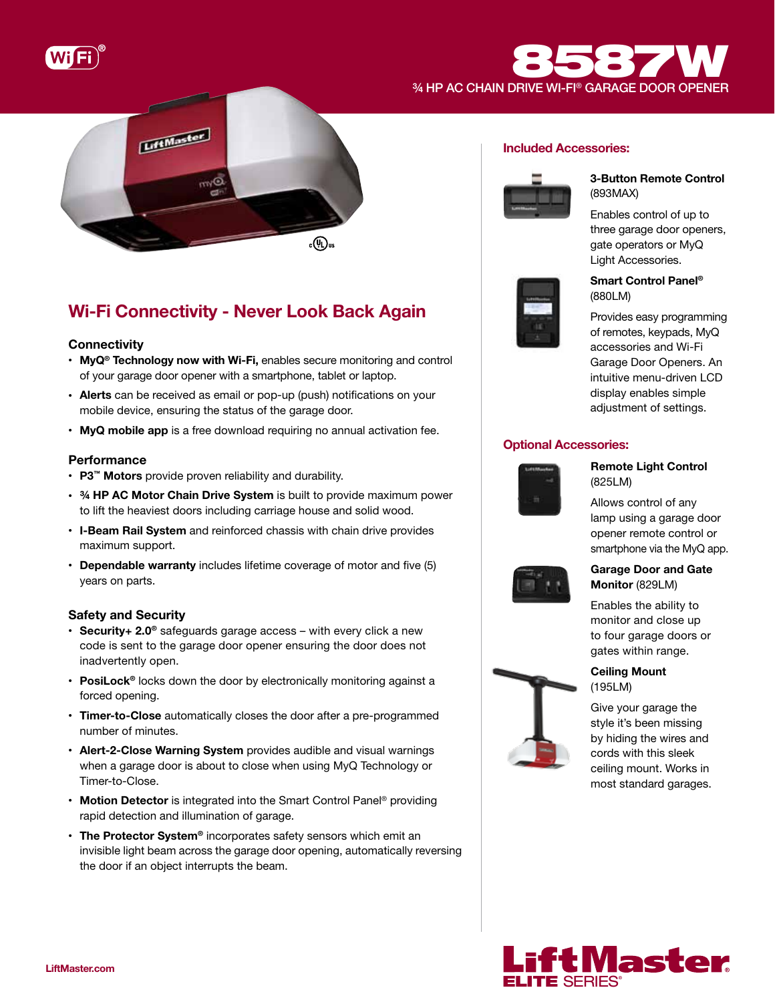

# **B587W** 8587



## Wi-Fi Connectivity - Never Look Back Again

## **Connectivity**

- MyQ<sup>®</sup> Technology now with Wi-Fi, enables secure monitoring and control of your garage door opener with a smartphone, tablet or laptop.
- Alerts can be received as email or pop-up (push) notifications on your mobile device, ensuring the status of the garage door.
- MyQ mobile app is a free download requiring no annual activation fee.

## **Performance**

- P3™ Motors provide proven reliability and durability.
- 34 HP AC Motor Chain Drive System is built to provide maximum power to lift the heaviest doors including carriage house and solid wood.
- I-Beam Rail System and reinforced chassis with chain drive provides maximum support.
- Dependable warranty includes lifetime coverage of motor and five (5) years on parts.

## Safety and Security

- Security + 2.0<sup>®</sup> safeguards garage access with every click a new code is sent to the garage door opener ensuring the door does not inadvertently open.
- PosiLock<sup>®</sup> locks down the door by electronically monitoring against a forced opening.
- Timer-to-Close automatically closes the door after a pre-programmed number of minutes.
- Alert-2-Close Warning System provides audible and visual warnings when a garage door is about to close when using MyQ Technology or Timer-to-Close.
- Motion Detector is integrated into the Smart Control Panel® providing rapid detection and illumination of garage.
- The Protector System® incorporates safety sensors which emit an invisible light beam across the garage door opening, automatically reversing the door if an object interrupts the beam.

## Included Accessories:



## 3-Button Remote Control (893MAX)

Enables control of up to three garage door openers, gate operators or MyQ Light Accessories.



## Smart Control Panel® (880LM)

Provides easy programming of remotes, keypads, MyQ accessories and Wi-Fi Garage Door Openers. An intuitive menu-driven LCD display enables simple adjustment of settings.

## Optional Accessories:



## Remote Light Control (825LM)

Allows control of any lamp using a garage door opener remote control or smartphone via the MyQ app.



## Garage Door and Gate Monitor (829LM)

Enables the ability to monitor and close up to four garage doors or gates within range.



Give your garage the style it's been missing by hiding the wires and cords with this sleek ceiling mount. Works in most standard garages.